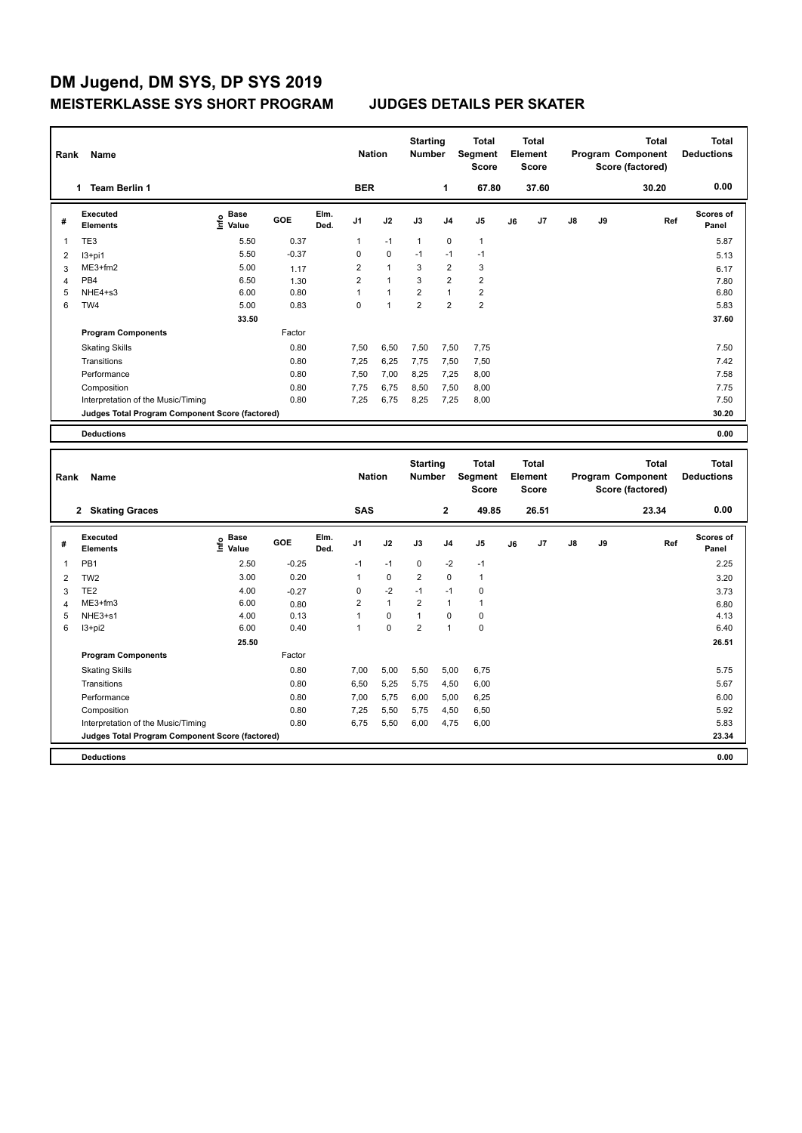## **DM Jugend, DM SYS, DP SYS 2019 MEISTERKLASSE SYS SHORT PROGRAM JUDGES DETAILS PER SKATER**

**Program Components** 

| Rank           | Name                                            |                              |         |              | <b>Nation</b>  |                | <b>Starting</b><br><b>Number</b> |                | <b>Total</b><br>Segment<br>Score        |       | <b>Total</b><br>Element<br><b>Score</b> |                   |    | <b>Total</b><br>Program Component<br>Score (factored) | <b>Total</b><br><b>Deductions</b> |
|----------------|-------------------------------------------------|------------------------------|---------|--------------|----------------|----------------|----------------------------------|----------------|-----------------------------------------|-------|-----------------------------------------|-------------------|----|-------------------------------------------------------|-----------------------------------|
|                | 1 Team Berlin 1                                 |                              |         |              | <b>BER</b>     |                |                                  | 1              | 67.80                                   |       | 37.60                                   |                   |    | 30.20                                                 | 0.00                              |
| #              | <b>Executed</b><br><b>Elements</b>              | <b>Base</b><br>۴<br>Value    | GOE     | Elm.<br>Ded. | J1             | J2             | J3                               | J4             | J5                                      | J6    | J7                                      | J8                | J9 | Ref                                                   | Scores of<br>Panel                |
| 1              | TE3                                             | 5.50                         | 0.37    |              | 1              | $-1$           | $\mathbf{1}$                     | $\mathbf 0$    | $\mathbf{1}$                            |       |                                         |                   |    |                                                       | 5.87                              |
| 2              | $13+pi1$                                        | 5.50                         | $-0.37$ |              | 0              | $\mathbf 0$    | $-1$                             | $-1$           | $-1$                                    |       |                                         |                   |    |                                                       | 5.13                              |
| 3              | $ME3+fm2$                                       | 5.00                         | 1.17    |              | 2              | $\mathbf{1}$   | 3                                | $\overline{2}$ | 3                                       |       |                                         |                   |    |                                                       | 6.17                              |
| 4              | PB <sub>4</sub>                                 | 6.50                         | 1.30    |              | $\overline{2}$ | $\overline{1}$ | 3                                | $\overline{2}$ | $\overline{\mathbf{c}}$                 |       |                                         |                   |    |                                                       | 7.80                              |
| 5              | NHE4+s3                                         | 6.00                         | 0.80    |              | $\mathbf{1}$   | $\overline{1}$ | $\overline{\mathbf{c}}$          | $\mathbf{1}$   | $\overline{2}$                          |       |                                         |                   |    |                                                       | 6.80                              |
| 6              | TW4                                             | 5.00                         | 0.83    |              | 0              | $\overline{1}$ | $\overline{2}$                   | $\overline{2}$ | $\overline{2}$                          |       |                                         |                   |    |                                                       | 5.83                              |
|                |                                                 | 33.50                        |         |              |                |                |                                  |                |                                         |       |                                         |                   |    |                                                       | 37.60                             |
|                | <b>Program Components</b>                       |                              | Factor  |              |                |                |                                  |                |                                         |       |                                         |                   |    |                                                       |                                   |
|                | <b>Skating Skills</b>                           |                              | 0.80    |              | 7,50           | 6,50           | 7,50                             | 7,50           | 7,75                                    |       |                                         |                   |    |                                                       | 7.50                              |
|                | Transitions                                     |                              | 0.80    |              | 7,25           | 6,25           | 7,75                             | 7,50           | 7,50                                    |       |                                         |                   |    |                                                       | 7.42                              |
|                | Performance                                     |                              | 0.80    |              | 7.50           | 7,00           | 8,25                             | 7,25           | 8,00                                    |       |                                         |                   |    |                                                       | 7.58                              |
|                | Composition                                     |                              | 0.80    |              | 7,75           | 6,75           | 8,50                             | 7,50           | 8,00                                    |       |                                         |                   |    |                                                       | 7.75                              |
|                | Interpretation of the Music/Timing              |                              | 0.80    |              | 7,25           | 6,75           | 8,25                             | 7,25           | 8,00                                    |       |                                         |                   |    |                                                       | 7.50                              |
|                | Judges Total Program Component Score (factored) |                              |         |              |                |                |                                  |                |                                         |       |                                         |                   |    |                                                       | 30.20                             |
|                |                                                 |                              |         |              |                |                |                                  |                |                                         |       |                                         |                   |    |                                                       |                                   |
|                | <b>Deductions</b>                               |                              |         |              |                |                |                                  |                |                                         |       |                                         |                   |    |                                                       | 0.00                              |
|                |                                                 |                              |         |              |                |                |                                  |                |                                         |       |                                         |                   |    |                                                       |                                   |
| Name<br>Rank   |                                                 |                              |         |              | <b>Nation</b>  |                | <b>Starting</b><br><b>Number</b> |                | <b>Total</b><br>Segment<br><b>Score</b> |       | <b>Total</b><br>Element<br><b>Score</b> | Program Component |    | <b>Total</b><br>Score (factored)                      | <b>Total</b><br><b>Deductions</b> |
|                | 2 Skating Graces                                |                              |         |              | <b>SAS</b>     |                |                                  | $\mathbf{2}$   | 49.85                                   | 26.51 |                                         |                   |    | 23.34                                                 | 0.00                              |
| #              | <b>Executed</b><br><b>Elements</b>              | <b>Base</b><br>١nfo<br>Value | GOE     | Elm.<br>Ded. | J1             | J2             | J3                               | J4             | J5                                      | J6    | J7                                      | J8                | J9 | Ref                                                   | Scores of<br>Panel                |
| 1              | PB <sub>1</sub>                                 | 2.50                         | $-0.25$ |              | $-1$           | $-1$           | $\mathbf 0$                      | $-2$           | $-1$                                    |       |                                         |                   |    |                                                       | 2.25                              |
| $\overline{2}$ | TW <sub>2</sub>                                 | 3.00                         | 0.20    |              | $\mathbf{1}$   | 0              | $\overline{2}$                   | $\mathbf 0$    | $\mathbf{1}$                            |       |                                         |                   |    |                                                       | 3.20                              |
| 3              | TE <sub>2</sub>                                 | 4.00                         | $-0.27$ |              | 0              | $-2$           | $-1$                             | $-1$           | 0                                       |       |                                         |                   |    |                                                       | 3.73                              |
| 4              | ME3+fm3                                         | 6.00                         | 0.80    |              | $\overline{2}$ | $\overline{1}$ | $\overline{2}$                   | $\mathbf{1}$   | $\mathbf{1}$                            |       |                                         |                   |    |                                                       | 6.80                              |
| 5              | NHE3+s1                                         | 4.00                         | 0.13    |              | $\mathbf{1}$   | $\Omega$       | 1                                | $\Omega$       | $\mathbf 0$                             |       |                                         |                   |    |                                                       | 4.13                              |

6 I3+pi2 6.00 0.40 1 0 2 1 0 6.40

Factor

Interpretation of the Music/Timing 0.80 6,75 5,50 6,00 4,75 6,00

Skating Skills 0.80 7,00 5,00 5,50 5,00 6,75 5.75

Transitions 6.80 6,50 5,25 5,75 4,50 6,00 5.67 5.67 5.67 Performance 200 0.80 7,00 5,75 6,00 5,00 6,25 6.00 6.25 6.00 Composition 0.80 7,25 5,50 5,75 4,50 6,50 5.92

**Deductions 0.00 Judges Total Program Component Score (factored) 23.34**

 **25.50 26.51**